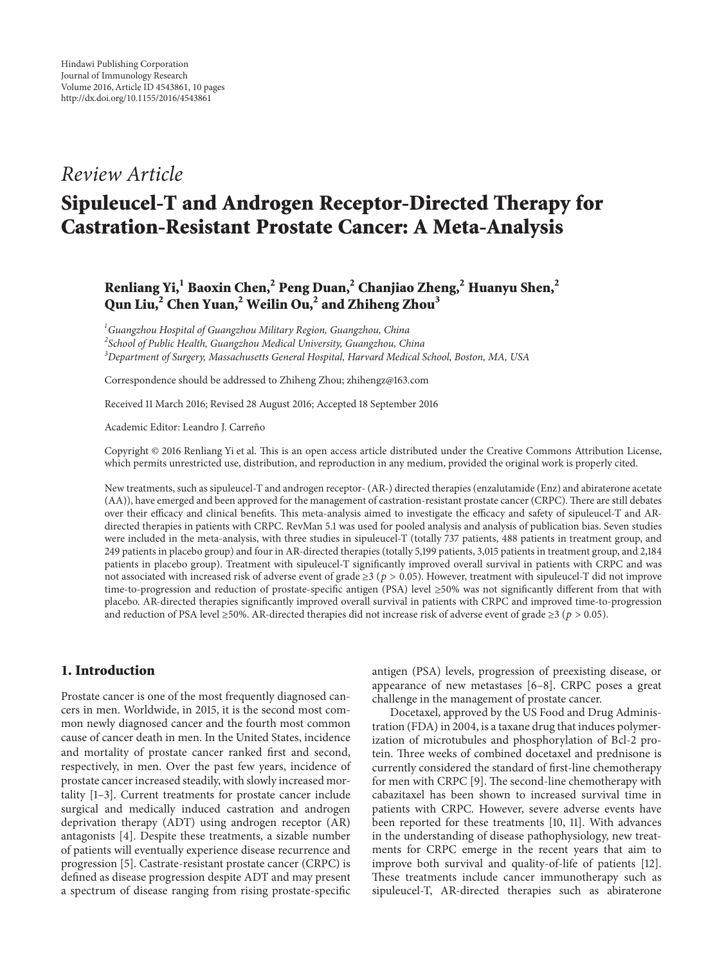# *Review Article*

# **Sipuleucel-T and Androgen Receptor-Directed Therapy for Castration-Resistant Prostate Cancer: A Meta-Analysis**

# **Renliang Yi,1 Baoxin Chen,2 Peng Duan,2 Chanjiao Zheng,2 Huanyu Shen,<sup>2</sup> Qun Liu,2 Chen Yuan,2 Weilin Ou,2 and Zhiheng Zhou<sup>3</sup>**

*1 Guangzhou Hospital of Guangzhou Military Region, Guangzhou, China 2 School of Public Health, Guangzhou Medical University, Guangzhou, China 3 Department of Surgery, Massachusetts General Hospital, Harvard Medical School, Boston, MA, USA*

Correspondence should be addressed to Zhiheng Zhou; zhihengz@163.com

Received 11 March 2016; Revised 28 August 2016; Accepted 18 September 2016

Academic Editor: Leandro J. Carreño

Copyright © 2016 Renliang Yi et al. This is an open access article distributed under the Creative Commons Attribution License, which permits unrestricted use, distribution, and reproduction in any medium, provided the original work is properly cited.

New treatments, such as sipuleucel-T and androgen receptor- (AR-) directed therapies (enzalutamide (Enz) and abiraterone acetate (AA)), have emerged and been approved for the management of castration-resistant prostate cancer (CRPC). There are still debates over their efficacy and clinical benefits. This meta-analysis aimed to investigate the efficacy and safety of sipuleucel-T and ARdirected therapies in patients with CRPC. RevMan 5.1 was used for pooled analysis and analysis of publication bias. Seven studies were included in the meta-analysis, with three studies in sipuleucel-T (totally 737 patients, 488 patients in treatment group, and 249 patients in placebo group) and four in AR-directed therapies (totally 5,199 patients, 3,015 patients in treatment group, and 2,184 patients in placebo group). Treatment with sipuleucel-T significantly improved overall survival in patients with CRPC and was not associated with increased risk of adverse event of grade  $\geq 3$  ( $p > 0.05$ ). However, treatment with sipuleucel-T did not improve time-to-progression and reduction of prostate-specific antigen (PSA) level ≥50% was not significantly different from that with placebo. AR-directed therapies significantly improved overall survival in patients with CRPC and improved time-to-progression and reduction of PSA level ≥50%. AR-directed therapies did not increase risk of adverse event of grade ≥3 ( $p > 0.05$ ).

# **1. Introduction**

Prostate cancer is one of the most frequently diagnosed cancers in men. Worldwide, in 2015, it is the second most common newly diagnosed cancer and the fourth most common cause of cancer death in men. In the United States, incidence and mortality of prostate cancer ranked first and second, respectively, in men. Over the past few years, incidence of prostate cancer increased steadily, with slowly increased mortality [\[1](#page-8-0)[–3\]](#page-8-1). Current treatments for prostate cancer include surgical and medically induced castration and androgen deprivation therapy (ADT) using androgen receptor (AR) antagonists [\[4](#page-8-2)]. Despite these treatments, a sizable number of patients will eventually experience disease recurrence and progression [\[5](#page-8-3)]. Castrate-resistant prostate cancer (CRPC) is defined as disease progression despite ADT and may present a spectrum of disease ranging from rising prostate-specific

antigen (PSA) levels, progression of preexisting disease, or appearance of new metastases [\[6](#page-8-4)[–8](#page-8-5)]. CRPC poses a great challenge in the management of prostate cancer.

Docetaxel, approved by the US Food and Drug Administration (FDA) in 2004, is a taxane drug that induces polymerization of microtubules and phosphorylation of Bcl-2 protein. Three weeks of combined docetaxel and prednisone is currently considered the standard of first-line chemotherapy for men with CRPC [\[9](#page-8-6)]. The second-line chemotherapy with cabazitaxel has been shown to increased survival time in patients with CRPC. However, severe adverse events have been reported for these treatments [\[10,](#page-8-7) [11](#page-8-8)]. With advances in the understanding of disease pathophysiology, new treatments for CRPC emerge in the recent years that aim to improve both survival and quality-of-life of patients [\[12](#page-8-9)]. These treatments include cancer immunotherapy such as sipuleucel-T, AR-directed therapies such as abiraterone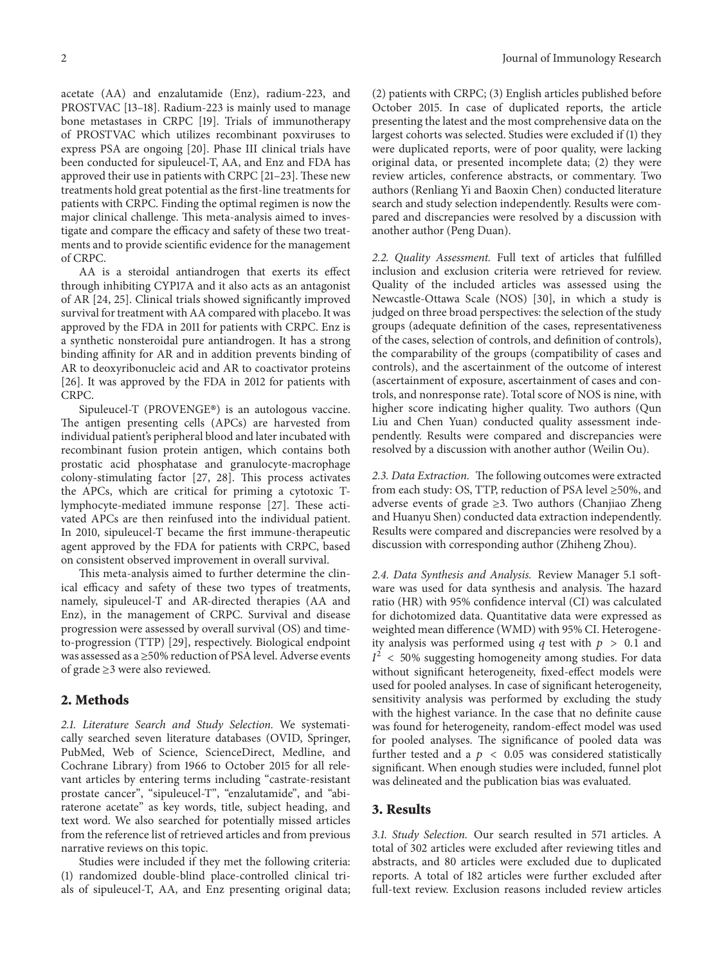acetate (AA) and enzalutamide (Enz), radium-223, and PROSTVAC [\[13](#page-8-10)[–18](#page-8-11)]. Radium-223 is mainly used to manage bone metastases in CRPC [\[19](#page-8-12)]. Trials of immunotherapy of PROSTVAC which utilizes recombinant poxviruses to express PSA are ongoing [\[20\]](#page-8-13). Phase III clinical trials have been conducted for sipuleucel-T, AA, and Enz and FDA has approved their use in patients with CRPC [\[21](#page-9-0)[–23\]](#page-9-1). These new treatments hold great potential as the first-line treatments for patients with CRPC. Finding the optimal regimen is now the major clinical challenge. This meta-analysis aimed to investigate and compare the efficacy and safety of these two treatments and to provide scientific evidence for the management of CRPC.

AA is a steroidal antiandrogen that exerts its effect through inhibiting CYP17A and it also acts as an antagonist of AR [\[24,](#page-9-2) [25\]](#page-9-3). Clinical trials showed significantly improved survival for treatment with AA compared with placebo. It was approved by the FDA in 2011 for patients with CRPC. Enz is a synthetic nonsteroidal pure antiandrogen. It has a strong binding affinity for AR and in addition prevents binding of AR to deoxyribonucleic acid and AR to coactivator proteins [\[26\]](#page-9-4). It was approved by the FDA in 2012 for patients with CRPC.

Sipuleucel-T (PROVENGE®) is an autologous vaccine. The antigen presenting cells (APCs) are harvested from individual patient's peripheral blood and later incubated with recombinant fusion protein antigen, which contains both prostatic acid phosphatase and granulocyte-macrophage colony-stimulating factor [\[27](#page-9-5), [28\]](#page-9-6). This process activates the APCs, which are critical for priming a cytotoxic Tlymphocyte-mediated immune response [\[27](#page-9-5)]. These activated APCs are then reinfused into the individual patient. In 2010, sipuleucel-T became the first immune-therapeutic agent approved by the FDA for patients with CRPC, based on consistent observed improvement in overall survival.

This meta-analysis aimed to further determine the clinical efficacy and safety of these two types of treatments, namely, sipuleucel-T and AR-directed therapies (AA and Enz), in the management of CRPC. Survival and disease progression were assessed by overall survival (OS) and timeto-progression (TTP) [\[29](#page-9-7)], respectively. Biological endpoint was assessed as a ≥50% reduction of PSA level. Adverse events of grade ≥3 were also reviewed.

# **2. Methods**

*2.1. Literature Search and Study Selection.* We systematically searched seven literature databases (OVID, Springer, PubMed, Web of Science, ScienceDirect, Medline, and Cochrane Library) from 1966 to October 2015 for all relevant articles by entering terms including "castrate-resistant prostate cancer", "sipuleucel-T", "enzalutamide", and "abiraterone acetate" as key words, title, subject heading, and text word. We also searched for potentially missed articles from the reference list of retrieved articles and from previous narrative reviews on this topic.

Studies were included if they met the following criteria: (1) randomized double-blind place-controlled clinical trials of sipuleucel-T, AA, and Enz presenting original data; (2) patients with CRPC; (3) English articles published before October 2015. In case of duplicated reports, the article presenting the latest and the most comprehensive data on the largest cohorts was selected. Studies were excluded if (1) they were duplicated reports, were of poor quality, were lacking original data, or presented incomplete data; (2) they were review articles, conference abstracts, or commentary. Two authors (Renliang Yi and Baoxin Chen) conducted literature search and study selection independently. Results were compared and discrepancies were resolved by a discussion with another author (Peng Duan).

*2.2. Quality Assessment.* Full text of articles that fulfilled inclusion and exclusion criteria were retrieved for review. Quality of the included articles was assessed using the Newcastle-Ottawa Scale (NOS) [\[30\]](#page-9-8), in which a study is judged on three broad perspectives: the selection of the study groups (adequate definition of the cases, representativeness of the cases, selection of controls, and definition of controls), the comparability of the groups (compatibility of cases and controls), and the ascertainment of the outcome of interest (ascertainment of exposure, ascertainment of cases and controls, and nonresponse rate). Total score of NOS is nine, with higher score indicating higher quality. Two authors (Qun Liu and Chen Yuan) conducted quality assessment independently. Results were compared and discrepancies were resolved by a discussion with another author (Weilin Ou).

*2.3. Data Extraction.* The following outcomes were extracted from each study: OS, TTP, reduction of PSA level ≥50%, and adverse events of grade ≥3. Two authors (Chanjiao Zheng and Huanyu Shen) conducted data extraction independently. Results were compared and discrepancies were resolved by a discussion with corresponding author (Zhiheng Zhou).

*2.4. Data Synthesis and Analysis.* Review Manager 5.1 software was used for data synthesis and analysis. The hazard ratio (HR) with 95% confidence interval (CI) was calculated for dichotomized data. Quantitative data were expressed as weighted mean difference (WMD) with 95% CI. Heterogeneity analysis was performed using q test with  $p > 0.1$  and  $I^2$  < 50% suggesting homogeneity among studies. For data without significant heterogeneity, fixed-effect models were used for pooled analyses. In case of significant heterogeneity, sensitivity analysis was performed by excluding the study with the highest variance. In the case that no definite cause was found for heterogeneity, random-effect model was used for pooled analyses. The significance of pooled data was further tested and a  $p \le 0.05$  was considered statistically significant. When enough studies were included, funnel plot was delineated and the publication bias was evaluated.

#### **3. Results**

*3.1. Study Selection.* Our search resulted in 571 articles. A total of 302 articles were excluded after reviewing titles and abstracts, and 80 articles were excluded due to duplicated reports. A total of 182 articles were further excluded after full-text review. Exclusion reasons included review articles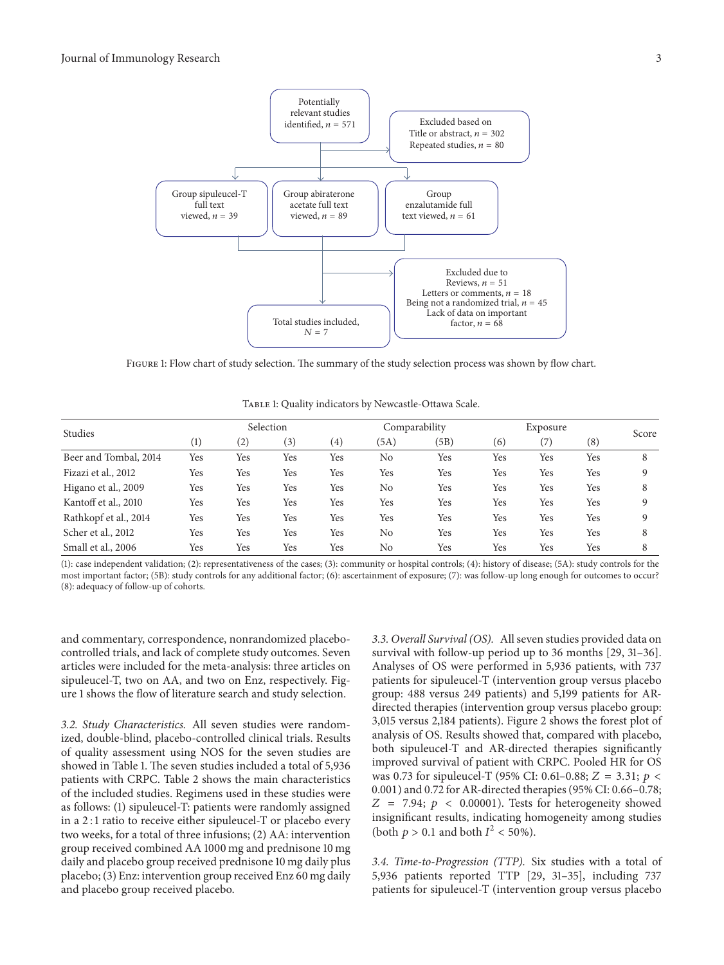

<span id="page-2-0"></span>Figure 1: Flow chart of study selection. The summary of the study selection process was shown by flow chart.

| Studies               |     |     | Selection |                   |      | Comparability | Exposure |     |          | Score |
|-----------------------|-----|-----|-----------|-------------------|------|---------------|----------|-----|----------|-------|
|                       | (1) | (2) | (3)       | $\left( 4\right)$ | (5A) | (5B)          | (6)      | (7) | $^{(8)}$ |       |
| Beer and Tombal, 2014 | Yes | Yes | Yes       | Yes               | No   | Yes           | Yes      | Yes | Yes      | 8     |
| Fizazi et al., 2012   | Yes | Yes | Yes       | Yes               | Yes  | Yes           | Yes      | Yes | Yes      | 9     |
| Higano et al., 2009   | Yes | Yes | Yes       | Yes               | No   | Yes           | Yes      | Yes | Yes      | 8     |
| Kantoff et al., 2010  | Yes | Yes | Yes       | Yes               | Yes  | Yes           | Yes      | Yes | Yes      | 9     |
| Rathkopf et al., 2014 | Yes | Yes | Yes       | Yes               | Yes  | Yes           | Yes      | Yes | Yes      | 9     |
| Scher et al., 2012    | Yes | Yes | Yes       | Yes               | No   | Yes           | Yes      | Yes | Yes      | 8     |
| Small et al., 2006    | Yes | Yes | Yes       | Yes               | No   | Yes           | Yes      | Yes | Yes      | 8     |

<span id="page-2-1"></span>TABLE 1: Quality indicators by Newcastle-Ottawa Scale.

(1): case independent validation; (2): representativeness of the cases; (3): community or hospital controls; (4): history of disease; (5A): study controls for the most important factor; (5B): study controls for any additional factor; (6): ascertainment of exposure; (7): was follow-up long enough for outcomes to occur? (8): adequacy of follow-up of cohorts.

and commentary, correspondence, nonrandomized placebocontrolled trials, and lack of complete study outcomes. Seven articles were included for the meta-analysis: three articles on sipuleucel-T, two on AA, and two on Enz, respectively. Figure [1](#page-2-0) shows the flow of literature search and study selection.

*3.2. Study Characteristics.* All seven studies were randomized, double-blind, placebo-controlled clinical trials. Results of quality assessment using NOS for the seven studies are showed in Table [1.](#page-2-1) The seven studies included a total of 5,936 patients with CRPC. Table [2](#page-3-0) shows the main characteristics of the included studies. Regimens used in these studies were as follows: (1) sipuleucel-T: patients were randomly assigned in a 2 : 1 ratio to receive either sipuleucel-T or placebo every two weeks, for a total of three infusions; (2) AA: intervention group received combined AA 1000 mg and prednisone 10 mg daily and placebo group received prednisone 10 mg daily plus placebo; (3) Enz: intervention group received Enz 60 mg daily and placebo group received placebo.

*3.3. Overall Survival (OS).* All seven studies provided data on survival with follow-up period up to 36 months [\[29,](#page-9-7) [31](#page-9-9)[–36](#page-9-10)]. Analyses of OS were performed in 5,936 patients, with 737 patients for sipuleucel-T (intervention group versus placebo group: 488 versus 249 patients) and 5,199 patients for ARdirected therapies (intervention group versus placebo group: 3,015 versus 2,184 patients). Figure [2](#page-3-1) shows the forest plot of analysis of OS. Results showed that, compared with placebo, both sipuleucel-T and AR-directed therapies significantly improved survival of patient with CRPC. Pooled HR for OS was 0.73 for sipuleucel-T (95% CI: 0.61-0.88;  $Z = 3.31$ ;  $p <$ 0.001) and 0.72 for AR-directed therapies (95% CI: 0.66–0.78;  $Z = 7.94$ ;  $p \lt 0.00001$ ). Tests for heterogeneity showed insignificant results, indicating homogeneity among studies (both  $p > 0.1$  and both  $I^2 < 50\%$ ).

*3.4. Time-to-Progression (TTP).* Six studies with a total of 5,936 patients reported TTP [\[29,](#page-9-7) [31](#page-9-9)[–35\]](#page-9-11), including 737 patients for sipuleucel-T (intervention group versus placebo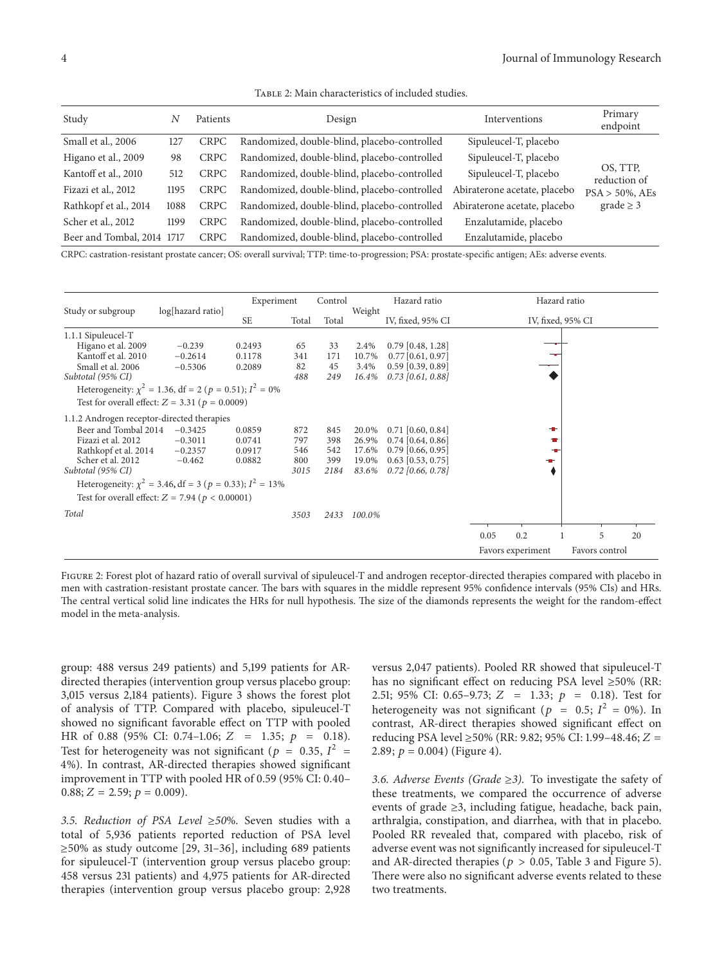<span id="page-3-0"></span>

| TABLE 2: Main characteristics of included studies. |
|----------------------------------------------------|
|----------------------------------------------------|

| Study                      | N    | Patients    | Design                                       | Interventions                | Primary<br>endpoint      |
|----------------------------|------|-------------|----------------------------------------------|------------------------------|--------------------------|
| Small et al., 2006         | 127  | <b>CRPC</b> | Randomized, double-blind, placebo-controlled | Sipuleucel-T, placebo        |                          |
| Higano et al., 2009        | 98   | <b>CRPC</b> | Randomized, double-blind, placebo-controlled | Sipuleucel-T, placebo        |                          |
| Kantoff et al., 2010       | 512  | <b>CRPC</b> | Randomized, double-blind, placebo-controlled | Sipuleucel-T, placebo        | OS, TTP,<br>reduction of |
| Fizazi et al., 2012        | 1195 | <b>CRPC</b> | Randomized, double-blind, placebo-controlled | Abiraterone acetate, placebo | $PSA > 50\%$ , AEs       |
| Rathkopf et al., 2014      | 1088 | <b>CRPC</b> | Randomized, double-blind, placebo-controlled | Abiraterone acetate, placebo | $grade \geq 3$           |
| Scher et al., 2012         | 1199 | <b>CRPC</b> | Randomized, double-blind, placebo-controlled | Enzalutamide, placebo        |                          |
| Beer and Tombal, 2014 1717 |      | <b>CRPC</b> | Randomized, double-blind, placebo-controlled | Enzalutamide, placebo        |                          |

CRPC: castration-resistant prostate cancer; OS: overall survival; TTP: time-to-progression; PSA: prostate-specific antigen; AEs: adverse events.

|                                                                 |                   | Experiment |           | Control   |               | Hazard ratio                               |                   |                   | Hazard ratio |                |    |
|-----------------------------------------------------------------|-------------------|------------|-----------|-----------|---------------|--------------------------------------------|-------------------|-------------------|--------------|----------------|----|
| Study or subgroup                                               | log[hazard ratio] | <b>SE</b>  | Total     | Total     | Weight        | IV, fixed, 95% CI                          | IV, fixed, 95% CI |                   |              |                |    |
| 1.1.1 Sipuleucel-T                                              |                   |            |           |           |               |                                            |                   |                   |              |                |    |
| Higano et al. 2009                                              | $-0.239$          | 0.2493     | 65        | 33        | 2.4%          | $0.79$ [0.48, 1.28]                        |                   |                   |              |                |    |
| Kantoff et al. 2010                                             | $-0.2614$         | 0.1178     | 341       | 171       | 10.7%         | $0.77$ [0.61, 0.97]                        |                   |                   |              |                |    |
| Small et al. 2006<br>Subtotal (95% CI)                          | $-0.5306$         | 0.2089     | 82<br>488 | 45<br>249 | 3.4%<br>16.4% | $0.59$ [0.39, 0.89]<br>$0.73$ [0.61, 0.88] |                   |                   |              |                |    |
| Heterogeneity: $\chi^2 = 1.36$ , df = 2 (p = 0.51); $I^2 = 0\%$ |                   |            |           |           |               |                                            |                   |                   |              |                |    |
| Test for overall effect: $Z = 3.31$ ( $p = 0.0009$ )            |                   |            |           |           |               |                                            |                   |                   |              |                |    |
| 1.1.2 Androgen receptor-directed therapies                      |                   |            |           |           |               |                                            |                   |                   |              |                |    |
| Beer and Tombal 2014                                            | $-0.3425$         | 0.0859     | 872       | 845       | 20.0%         | $0.71$ [0.60, 0.84]                        |                   |                   | ÷            |                |    |
| Fizazi et al. 2012                                              | $-0.3011$         | 0.0741     | 797       | 398       | 26.9%         | $0.74$ [0.64, 0.86]                        |                   |                   |              |                |    |
| Rathkopf et al. 2014                                            | $-0.2357$         | 0.0917     | 546       | 542       | 17.6%         | $0.79$ [0.66, 0.95]                        |                   |                   |              |                |    |
| Scher et al. 2012                                               | $-0.462$          | 0.0882     | 800       | 399       | 19.0%         | $0.63$ [0.53, 0.75]                        |                   |                   |              |                |    |
| Subtotal (95% CI)                                               |                   |            | 3015      | 2184      | 83.6%         | $0.72$ [0.66, 0.78]                        |                   |                   |              |                |    |
| Heterogeneity: $\chi^2$ = 3.46, df = 3 (p = 0.33); $I^2$ = 13%  |                   |            |           |           |               |                                            |                   |                   |              |                |    |
| Test for overall effect: $Z = 7.94$ ( $p < 0.00001$ )           |                   |            |           |           |               |                                            |                   |                   |              |                |    |
| Total                                                           |                   |            | 3503      | 2433      | 100.0%        |                                            |                   |                   |              |                |    |
|                                                                 |                   |            |           |           |               |                                            |                   |                   |              |                |    |
|                                                                 |                   |            |           |           |               |                                            | 0.05              | 0.2               |              | 5              | 20 |
|                                                                 |                   |            |           |           |               |                                            |                   | Favors experiment |              | Favors control |    |

<span id="page-3-1"></span>Figure 2: Forest plot of hazard ratio of overall survival of sipuleucel-T and androgen receptor-directed therapies compared with placebo in men with castration-resistant prostate cancer. The bars with squares in the middle represent 95% confidence intervals (95% CIs) and HRs. The central vertical solid line indicates the HRs for null hypothesis. The size of the diamonds represents the weight for the random-effect model in the meta-analysis.

group: 488 versus 249 patients) and 5,199 patients for ARdirected therapies (intervention group versus placebo group: 3,015 versus 2,184 patients). Figure [3](#page-4-0) shows the forest plot of analysis of TTP. Compared with placebo, sipuleucel-T showed no significant favorable effect on TTP with pooled HR of 0.88 (95% CI: 0.74–1.06;  $Z = 1.35; p = 0.18$ ). Test for heterogeneity was not significant ( $p = 0.35, I^2 =$ 4%). In contrast, AR-directed therapies showed significant improvement in TTP with pooled HR of 0.59 (95% CI: 0.40–  $0.88; Z = 2.59; p = 0.009$ .

*3.5. Reduction of PSA Level* ≥*50*%*.* Seven studies with a total of 5,936 patients reported reduction of PSA level  $\geq$ 50% as study outcome [\[29,](#page-9-7) [31](#page-9-9)[–36\]](#page-9-10), including 689 patients for sipuleucel-T (intervention group versus placebo group: 458 versus 231 patients) and 4,975 patients for AR-directed therapies (intervention group versus placebo group: 2,928 versus 2,047 patients). Pooled RR showed that sipuleucel-T has no significant effect on reducing PSA level ≥50% (RR: 2.51; 95% CI: 0.65-9.73;  $Z = 1.33$ ;  $p = 0.18$ ). Test for heterogeneity was not significant ( $p = 0.5$ ;  $I^2 = 0$ %). In contrast, AR-direct therapies showed significant effect on reducing PSA level ≥50% (RR: 9.82; 95% CI: 1.99–48.46; Z = 2.89;  $p = 0.004$ ) (Figure [4\)](#page-4-1).

*3.6. Adverse Events (Grade* ≥*3).* To investigate the safety of these treatments, we compared the occurrence of adverse events of grade ≥3, including fatigue, headache, back pain, arthralgia, constipation, and diarrhea, with that in placebo. Pooled RR revealed that, compared with placebo, risk of adverse event was not significantly increased for sipuleucel-T and AR-directed therapies ( $p > 0.05$ , Table [3](#page-7-0) and Figure [5\)](#page-5-0). There were also no significant adverse events related to these two treatments.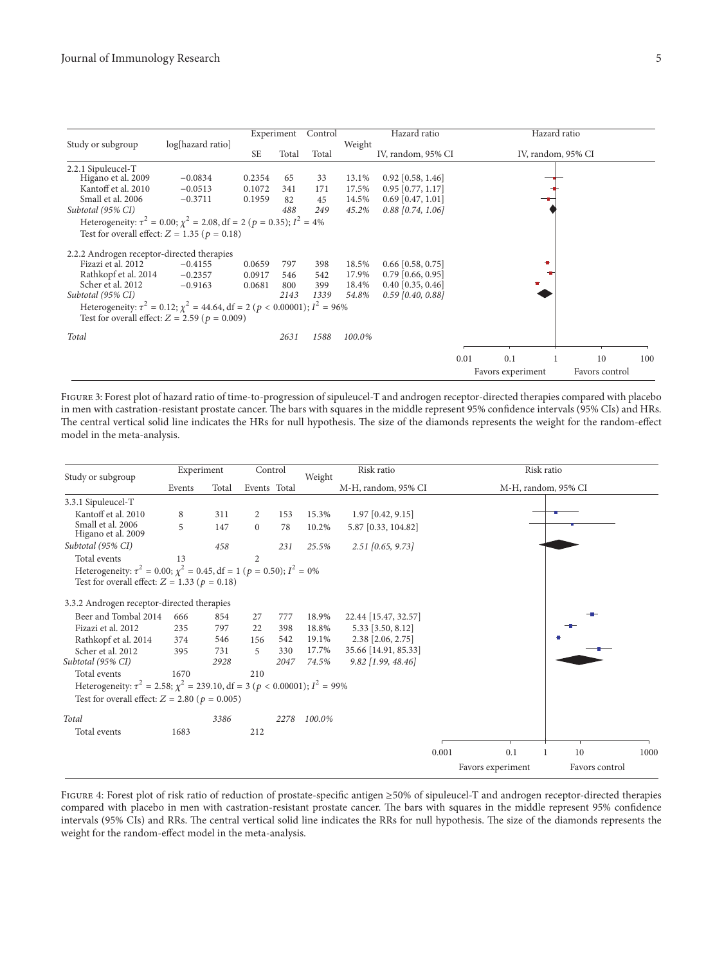|                                            |                                                                                            |           | Experiment | Control |                              | Hazard ratio        |      |                    | Hazard ratio |                |     |
|--------------------------------------------|--------------------------------------------------------------------------------------------|-----------|------------|---------|------------------------------|---------------------|------|--------------------|--------------|----------------|-----|
| Study or subgroup                          | log[hazard ratio]                                                                          | <b>SE</b> | Total      | Total   | Weight<br>IV, random, 95% CI |                     |      | IV, random, 95% CI |              |                |     |
| 2.2.1 Sipuleucel-T                         |                                                                                            |           |            |         |                              |                     |      |                    |              |                |     |
| Higano et al. 2009                         | $-0.0834$                                                                                  | 0.2354    | 65         | 33      | 13.1%                        | $0.92$ [0.58, 1.46] |      |                    |              |                |     |
| Kantoff et al. 2010                        | $-0.0513$                                                                                  | 0.1072    | 341        | 171     | 17.5%                        | $0.95$ [0.77, 1.17] |      |                    |              |                |     |
| Small et al. 2006                          | $-0.3711$                                                                                  | 0.1959    | 82         | 45      | 14.5%                        | $0.69$ [0.47, 1.01] |      |                    |              |                |     |
| Subtotal (95% CI)                          |                                                                                            |           | 488        | 249     | 45.2%                        | $0.88$ [0.74, 1.06] |      |                    |              |                |     |
|                                            | Heterogeneity: $\tau^2 = 0.00$ ; $\chi^2 = 2.08$ , df = 2 (p = 0.35); $I^2 = 4\%$          |           |            |         |                              |                     |      |                    |              |                |     |
|                                            | Test for overall effect: $Z = 1.35$ ( $p = 0.18$ )                                         |           |            |         |                              |                     |      |                    |              |                |     |
| 2.2.2 Androgen receptor-directed therapies |                                                                                            |           |            |         |                              |                     |      |                    |              |                |     |
| Fizazi et al. 2012                         | $-0.4155$                                                                                  | 0.0659    | 797        | 398     | 18.5%                        | $0.66$ [0.58, 0.75] |      |                    |              |                |     |
| Rathkopf et al. 2014                       | $-0.2357$                                                                                  | 0.0917    | 546        | 542     | 17.9%                        | $0.79$ [0.66, 0.95] |      |                    |              |                |     |
| Scher et al. 2012                          | $-0.9163$                                                                                  | 0.0681    | 800        | 399     | 18.4%                        | $0.40$ [0.35, 0.46] |      |                    |              |                |     |
| Subtotal (95% CI)                          |                                                                                            |           | 2143       | 1339    | 54.8%                        | $0.59$ [0.40, 0.88] |      |                    |              |                |     |
|                                            | Heterogeneity: $\tau^2 = 0.12$ ; $\chi^2 = 44.64$ , df = 2 ( $p < 0.00001$ ); $I^2 = 96\%$ |           |            |         |                              |                     |      |                    |              |                |     |
|                                            | Test for overall effect: $Z = 2.59$ ( $p = 0.009$ )                                        |           |            |         |                              |                     |      |                    |              |                |     |
| Total                                      |                                                                                            |           | 2631       | 1588    | 100.0%                       |                     |      |                    |              |                |     |
|                                            |                                                                                            |           |            |         |                              |                     |      |                    |              |                |     |
|                                            |                                                                                            |           |            |         |                              |                     | 0.01 | 0.1                |              | 10             | 100 |
|                                            |                                                                                            |           |            |         |                              |                     |      | Favors experiment  |              | Favors control |     |

<span id="page-4-0"></span>Figure 3: Forest plot of hazard ratio of time-to-progression of sipuleucel-T and androgen receptor-directed therapies compared with placebo in men with castration-resistant prostate cancer. The bars with squares in the middle represent 95% confidence intervals (95% CIs) and HRs. The central vertical solid line indicates the HRs for null hypothesis. The size of the diamonds represents the weight for the random-effect model in the meta-analysis.

| Study or subgroup                                                                                                                                                  | Experiment |       | Control        |      | Weight | Risk ratio           |       |                   | Risk ratio          |      |
|--------------------------------------------------------------------------------------------------------------------------------------------------------------------|------------|-------|----------------|------|--------|----------------------|-------|-------------------|---------------------|------|
|                                                                                                                                                                    | Events     | Total | Events Total   |      |        | M-H, random, 95% CI  |       |                   | M-H, random, 95% CI |      |
| 3.3.1 Sipuleucel-T                                                                                                                                                 |            |       |                |      |        |                      |       |                   |                     |      |
| Kantoff et al. 2010                                                                                                                                                | 8          | 311   | 2              | 153  | 15.3%  | $1.97$ [0.42, 9.15]  |       |                   |                     |      |
| Small et al. 2006<br>Higano et al. 2009                                                                                                                            | 5          | 147   | $\mathbf{0}$   | 78   | 10.2%  | 5.87 [0.33, 104.82]  |       |                   |                     |      |
| Subtotal (95% CI)                                                                                                                                                  |            | 458   |                | 231  | 25.5%  | $2.51$ [0.65, 9.73]  |       |                   |                     |      |
| Total events                                                                                                                                                       | 13         |       | $\overline{2}$ |      |        |                      |       |                   |                     |      |
| Heterogeneity: $\tau^2 = 0.00$ ; $\chi^2 = 0.45$ , df = 1 (p = 0.50); $I^2 = 0\%$<br>Test for overall effect: $Z = 1.33$ ( $p = 0.18$ )                            |            |       |                |      |        |                      |       |                   |                     |      |
| 3.3.2 Androgen receptor-directed therapies                                                                                                                         |            |       |                |      |        |                      |       |                   |                     |      |
| Beer and Tombal 2014                                                                                                                                               | 666        | 854   | 27             | 777  | 18.9%  | 22.44 [15.47, 32.57] |       |                   |                     |      |
| Fizazi et al. 2012                                                                                                                                                 | 235        | 797   | 22             | 398  | 18.8%  | 5.33 [3.50, 8.12]    |       |                   |                     |      |
| Rathkopf et al. 2014                                                                                                                                               | 374        | 546   | 156            | 542  | 19.1%  | 2.38 [2.06, 2.75]    |       |                   |                     |      |
| Scher et al. 2012                                                                                                                                                  | 395        | 731   | 5              | 330  | 17.7%  | 35.66 [14.91, 85.33] |       |                   |                     |      |
| Subtotal (95% CI)                                                                                                                                                  |            | 2928  |                | 2047 | 74.5%  | 9.82 [1.99, 48.46]   |       |                   |                     |      |
| Total events<br>Heterogeneity: $\tau^2 = 2.58$ ; $\chi^2 = 239.10$ , df = 3 ( $p < 0.00001$ ); $I^2 = 99\%$<br>Test for overall effect: $Z = 2.80$ ( $p = 0.005$ ) | 1670       |       | 210            |      |        |                      |       |                   |                     |      |
| Total                                                                                                                                                              |            | 3386  |                | 2278 | 100.0% |                      |       |                   |                     |      |
| Total events                                                                                                                                                       | 1683       |       | 212            |      |        |                      |       |                   |                     |      |
|                                                                                                                                                                    |            |       |                |      |        |                      | 0.001 | 0.1               | 10                  | 1000 |
|                                                                                                                                                                    |            |       |                |      |        |                      |       | Favors experiment | Favors control      |      |

<span id="page-4-1"></span>Figure 4: Forest plot of risk ratio of reduction of prostate-specific antigen ≥50% of sipuleucel-T and androgen receptor-directed therapies compared with placebo in men with castration-resistant prostate cancer. The bars with squares in the middle represent 95% confidence intervals (95% CIs) and RRs. The central vertical solid line indicates the RRs for null hypothesis. The size of the diamonds represents the weight for the random-effect model in the meta-analysis.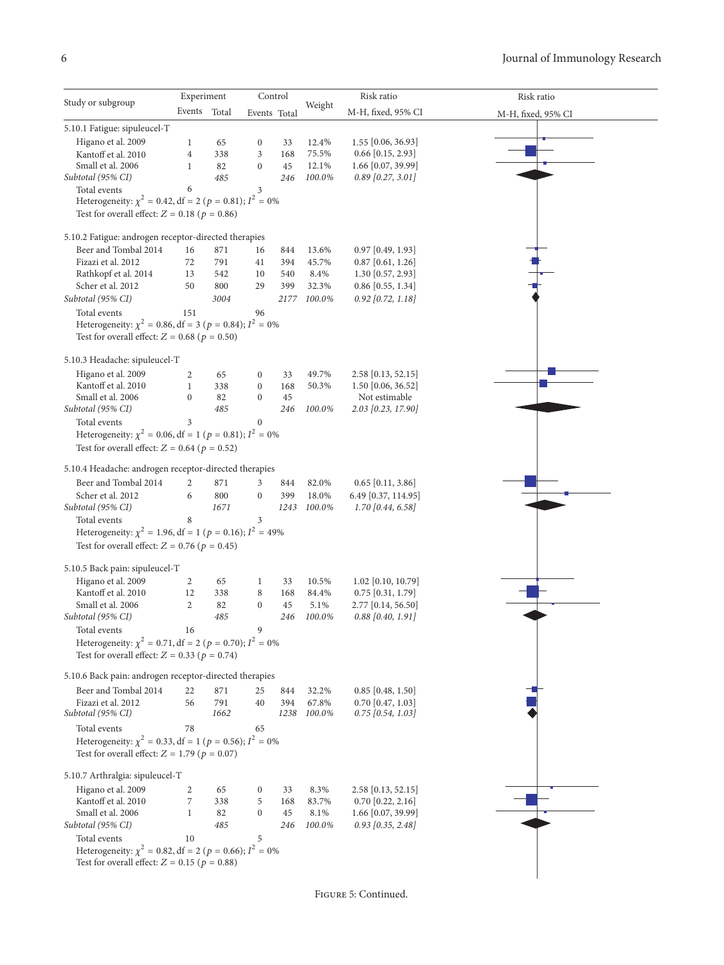|                                                                                                                            | Experiment     |            |                  | Control      |                | Risk ratio           | Risk ratio         |
|----------------------------------------------------------------------------------------------------------------------------|----------------|------------|------------------|--------------|----------------|----------------------|--------------------|
| Study or subgroup                                                                                                          | Events Total   |            |                  | Events Total | Weight         | M-H, fixed, 95% CI   | M-H, fixed, 95% CI |
| 5.10.1 Fatigue: sipuleucel-T                                                                                               |                |            |                  |              |                |                      |                    |
| Higano et al. 2009                                                                                                         | 1              | 65         | $\boldsymbol{0}$ | 33           | 12.4%          | $1.55$ [0.06, 36.93] |                    |
| Kantoff et al. 2010                                                                                                        | $\overline{4}$ | 338        | 3                | 168          | 75.5%          | $0.66$ [0.15, 2.93]  |                    |
| Small et al. 2006                                                                                                          | 1              | 82         | $\boldsymbol{0}$ | 45           | 12.1%          | 1.66 [0.07, 39.99]   |                    |
| Subtotal (95% CI)                                                                                                          |                | 485        |                  | 246          | 100.0%         | $0.89$ [0.27, 3.01]  |                    |
| Total events                                                                                                               | 6              |            | 3                |              |                |                      |                    |
| Heterogeneity: $\chi^2 = 0.42$ , df = 2 ( $p = 0.81$ ); $I^2 = 0\%$                                                        |                |            |                  |              |                |                      |                    |
| Test for overall effect: $Z = 0.18$ ( $p = 0.86$ )                                                                         |                |            |                  |              |                |                      |                    |
|                                                                                                                            |                |            |                  |              |                |                      |                    |
| 5.10.2 Fatigue: androgen receptor-directed therapies<br>Beer and Tombal 2014                                               |                |            |                  |              |                | $0.97$ [0.49, 1.93]  |                    |
| Fizazi et al. 2012                                                                                                         | 16<br>72       | 871<br>791 | 16<br>41         | 844<br>394   | 13.6%<br>45.7% | $0.87$ [0.61, 1.26]  |                    |
| Rathkopf et al. 2014                                                                                                       | 13             | 542        | 10               | 540          | 8.4%           | 1.30 [0.57, 2.93]    |                    |
| Scher et al. 2012                                                                                                          | 50             | 800        | 29               | 399          | 32.3%          | $0.86$ [0.55, 1.34]  |                    |
|                                                                                                                            |                | 3004       |                  |              |                |                      |                    |
| Subtotal (95% CI)                                                                                                          |                |            |                  | 2177         | 100.0%         | $0.92$ [0.72, 1.18]  |                    |
| Total events                                                                                                               | 151            |            | 96               |              |                |                      |                    |
| Heterogeneity: $\chi^2 = 0.86$ , df = 3 ( $p = 0.84$ ); $I^2 = 0\%$                                                        |                |            |                  |              |                |                      |                    |
| Test for overall effect: $Z = 0.68$ ( $p = 0.50$ )                                                                         |                |            |                  |              |                |                      |                    |
| 5.10.3 Headache: sipuleucel-T                                                                                              |                |            |                  |              |                |                      |                    |
| Higano et al. 2009                                                                                                         | 2              | 65         | $\boldsymbol{0}$ | 33           | 49.7%          | 2.58 [0.13, 52.15]   |                    |
| Kantoff et al. 2010                                                                                                        | $\mathbf{1}$   | 338        | $\boldsymbol{0}$ | 168          | 50.3%          | $1.50$ [0.06, 36.52] |                    |
| Small et al. 2006                                                                                                          | $\mathbf{0}$   | 82         | $\boldsymbol{0}$ | 45           |                | Not estimable        |                    |
| Subtotal (95% CI)                                                                                                          |                | 485        |                  | 246          | 100.0%         | 2.03 [0.23, 17.90]   |                    |
| Total events                                                                                                               | 3              |            | $\boldsymbol{0}$ |              |                |                      |                    |
| Heterogeneity: $\chi^2 = 0.06$ , df = 1 ( $p = 0.81$ ); $I^2 = 0\%$                                                        |                |            |                  |              |                |                      |                    |
| Test for overall effect: $Z = 0.64$ ( $p = 0.52$ )                                                                         |                |            |                  |              |                |                      |                    |
| 5.10.4 Headache: androgen receptor-directed therapies                                                                      |                |            |                  |              |                |                      |                    |
|                                                                                                                            |                |            |                  |              |                |                      |                    |
| Beer and Tombal 2014                                                                                                       | 2              | 871        | 3                | 844          | 82.0%          | $0.65$ [0.11, 3.86]  |                    |
| Scher et al. 2012                                                                                                          | 6              | 800        | $\boldsymbol{0}$ | 399          | 18.0%          | 6.49 [0.37, 114.95]  |                    |
| Subtotal (95% CI)                                                                                                          |                | 1671       |                  | 1243         | 100.0%         | $1.70$ [0.44, 6.58]  |                    |
| Total events                                                                                                               | 8              |            | 3                |              |                |                      |                    |
| Heterogeneity: $\chi^2 = 1.96$ , df = 1 ( $p = 0.16$ ); $I^2 = 49\%$<br>Test for overall effect: $Z = 0.76$ ( $p = 0.45$ ) |                |            |                  |              |                |                      |                    |
|                                                                                                                            |                |            |                  |              |                |                      |                    |
| 5.10.5 Back pain: sipuleucel-T                                                                                             |                |            |                  |              |                |                      |                    |
| Higano et al. 2009                                                                                                         | 2              | 65         | 1                | 33           | 10.5%          | 1.02 [0.10, 10.79]   |                    |
| Kantoff et al. 2010                                                                                                        | 12             | 338        | 8                | 168          | 84.4%          | $0.75$ [0.31, 1.79]  |                    |
| Small et al. 2006                                                                                                          | 2              | 82         | $\mathbf{0}$     | 45           | 5.1%           | 2.77 [0.14, 56.50]   |                    |
| Subtotal (95% CI)                                                                                                          |                | 485        |                  | 246          | 100.0%         | $0.88$ [0.40, 1.91]  |                    |
| Total events                                                                                                               | 16             |            | 9                |              |                |                      |                    |
| Heterogeneity: $\chi^2 = 0.71$ , df = 2 ( $p = 0.70$ ); $I^2 = 0\%$                                                        |                |            |                  |              |                |                      |                    |
| Test for overall effect: $Z = 0.33$ ( $p = 0.74$ )                                                                         |                |            |                  |              |                |                      |                    |
| 5.10.6 Back pain: androgen receptor-directed therapies                                                                     |                |            |                  |              |                |                      |                    |
| Beer and Tombal 2014                                                                                                       | 22             | 871        | 25               | 844          | 32.2%          | $0.85$ [0.48, 1.50]  |                    |
| Fizazi et al. 2012                                                                                                         | 56             | 791        | 40               | 394          | 67.8%          | $0.70$ [0.47, 1.03]  |                    |
| Subtotal (95% CI)                                                                                                          |                | 1662       |                  | 1238         | 100.0%         | $0.75$ [0.54, 1.03]  |                    |
| Total events                                                                                                               | 78             |            | 65               |              |                |                      |                    |
| Heterogeneity: $\chi^2 = 0.33$ , df = 1 (p = 0.56); $I^2 = 0\%$                                                            |                |            |                  |              |                |                      |                    |
| Test for overall effect: $Z = 1.79$ ( $p = 0.07$ )                                                                         |                |            |                  |              |                |                      |                    |
|                                                                                                                            |                |            |                  |              |                |                      |                    |
| 5.10.7 Arthralgia: sipuleucel-T                                                                                            |                |            |                  |              |                |                      |                    |
| Higano et al. 2009                                                                                                         | 2              | 65         | $\boldsymbol{0}$ | 33           | 8.3%           | 2.58 [0.13, 52.15]   |                    |
| Kantoff et al. 2010                                                                                                        | 7              | 338        | 5                | 168          | 83.7%          | $0.70$ [0.22, 2.16]  |                    |
| Small et al. 2006                                                                                                          | 1              | 82         | $\boldsymbol{0}$ | 45           | 8.1%           | 1.66 [0.07, 39.99]   |                    |
| Subtotal (95% CI)                                                                                                          |                | 485        |                  | 246          | 100.0%         | $0.93$ [0.35, 2.48]  |                    |
| Total events                                                                                                               | 10             |            | 5                |              |                |                      |                    |
|                                                                                                                            |                |            |                  |              |                |                      |                    |
| Heterogeneity: $\chi^2 = 0.82$ , df = 2 ( $p = 0.66$ ); $I^2 = 0\%$<br>Test for overall effect: $Z = 0.15$ ( $p = 0.88$ )  |                |            |                  |              |                |                      |                    |

<span id="page-5-0"></span>Figure 5: Continued.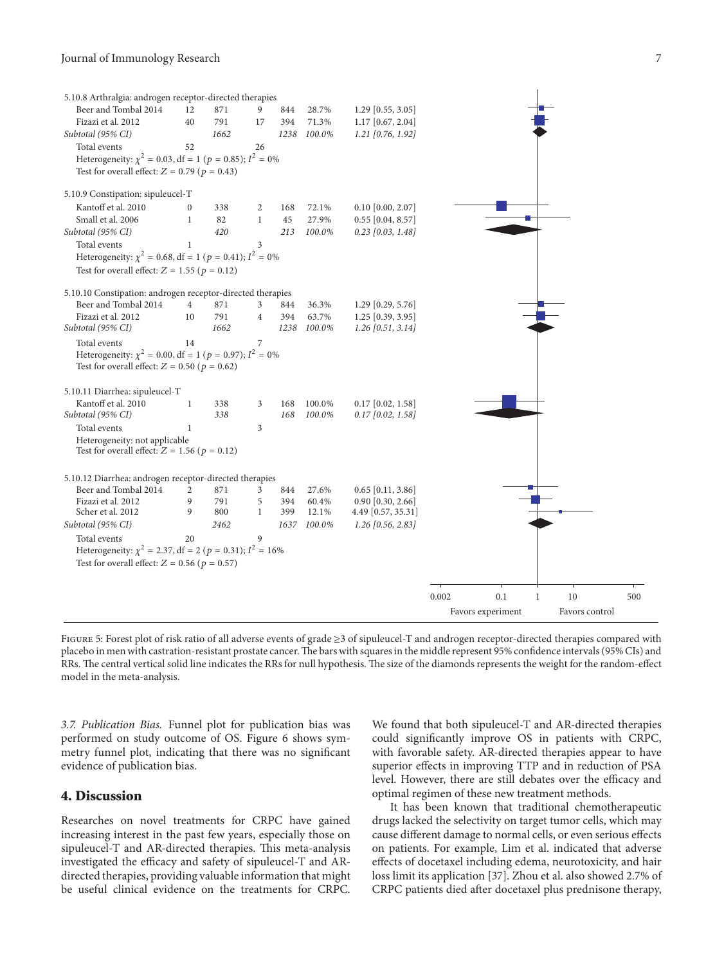#### Journal of Immunology Research 7

| 5.10.8 Arthralgia: androgen receptor-directed therapies             |                  |      |                |      |             |                     |       |                   |              |                |     |
|---------------------------------------------------------------------|------------------|------|----------------|------|-------------|---------------------|-------|-------------------|--------------|----------------|-----|
| Beer and Tombal 2014                                                | 12               | 871  | 9              | 844  | 28.7%       | $1.29$ [0.55, 3.05] |       |                   |              |                |     |
| Fizazi et al. 2012                                                  | 40               | 791  | 17             | 394  | 71.3%       | $1.17$ [0.67, 2.04] |       |                   |              |                |     |
| Subtotal (95% CI)                                                   |                  | 1662 |                | 1238 | 100.0%      | $1.21$ [0.76, 1.92] |       |                   |              |                |     |
| Total events                                                        | 52               |      | 26             |      |             |                     |       |                   |              |                |     |
| Heterogeneity: $\chi^2 = 0.03$ , df = 1 ( $p = 0.85$ ); $I^2 = 0\%$ |                  |      |                |      |             |                     |       |                   |              |                |     |
| Test for overall effect: $Z = 0.79$ ( $p = 0.43$ )                  |                  |      |                |      |             |                     |       |                   |              |                |     |
| 5.10.9 Constipation: sipuleucel-T                                   |                  |      |                |      |             |                     |       |                   |              |                |     |
| Kantoff et al. 2010                                                 | $\boldsymbol{0}$ | 338  | 2              | 168  | 72.1%       | $0.10$ [0.00, 2.07] |       |                   |              |                |     |
| Small et al. 2006                                                   | $\mathbf 1$      | 82   | $\mathbf{1}$   | 45   | 27.9%       | $0.55$ [0.04, 8.57] |       |                   |              |                |     |
| Subtotal (95% CI)                                                   |                  | 420  |                | 213  | 100.0%      | $0.23$ [0.03, 1.48] |       |                   |              |                |     |
| Total events                                                        | $\mathbf{1}$     |      | 3              |      |             |                     |       |                   |              |                |     |
| Heterogeneity: $\chi^2$ = 0.68, df = 1 (p = 0.41); $I^2$ = 0%       |                  |      |                |      |             |                     |       |                   |              |                |     |
| Test for overall effect: $Z = 1.55$ ( $p = 0.12$ )                  |                  |      |                |      |             |                     |       |                   |              |                |     |
| 5.10.10 Constipation: androgen receptor-directed therapies          |                  |      |                |      |             |                     |       |                   |              |                |     |
| Beer and Tombal 2014                                                | 4                | 871  | 3              | 844  | 36.3%       | $1.29$ [0.29, 5.76] |       |                   |              |                |     |
| Fizazi et al. 2012                                                  | 10               | 791  | $\overline{4}$ | 394  | 63.7%       | $1.25$ [0.39, 3.95] |       |                   |              |                |     |
| Subtotal (95% CI)                                                   |                  | 1662 |                |      | 1238 100.0% | $1.26$ [0.51, 3.14] |       |                   |              |                |     |
| Total events                                                        | 14               |      | $\overline{7}$ |      |             |                     |       |                   |              |                |     |
| Heterogeneity: $\chi^2 = 0.00$ , df = 1 ( $p = 0.97$ ); $I^2 = 0\%$ |                  |      |                |      |             |                     |       |                   |              |                |     |
| Test for overall effect: $Z = 0.50$ ( $p = 0.62$ )                  |                  |      |                |      |             |                     |       |                   |              |                |     |
| 5.10.11 Diarrhea: sipuleucel-T                                      |                  |      |                |      |             |                     |       |                   |              |                |     |
| Kantoff et al. 2010                                                 | 1                | 338  | 3              | 168  | 100.0%      | $0.17$ [0.02, 1.58] |       |                   |              |                |     |
| Subtotal (95% CI)                                                   |                  | 338  |                | 168  | 100.0%      | $0.17$ [0.02, 1.58] |       |                   |              |                |     |
| Total events                                                        | $\mathbf{1}$     |      | 3              |      |             |                     |       |                   |              |                |     |
| Heterogeneity: not applicable                                       |                  |      |                |      |             |                     |       |                   |              |                |     |
| Test for overall effect: $Z = 1.56$ ( $p = 0.12$ )                  |                  |      |                |      |             |                     |       |                   |              |                |     |
| 5.10.12 Diarrhea: androgen receptor-directed therapies              |                  |      |                |      |             |                     |       |                   |              |                |     |
| Beer and Tombal 2014                                                | 2                | 871  | 3              | 844  | 27.6%       | $0.65$ [0.11, 3.86] |       |                   |              |                |     |
| Fizazi et al. 2012                                                  | 9                | 791  | 5              | 394  | 60.4%       | $0.90$ [0.30, 2.66] |       |                   |              |                |     |
| Scher et al. 2012                                                   | 9                | 800  | 1              | 399  | 12.1%       | 4.49 [0.57, 35.31]  |       |                   |              |                |     |
| Subtotal (95% CI)                                                   |                  | 2462 |                |      | 1637 100.0% | $1.26$ [0.56, 2.83] |       |                   |              |                |     |
| Total events                                                        | 20               |      | 9              |      |             |                     |       |                   |              |                |     |
| Heterogeneity: $\chi^2$ = 2.37, df = 2 (p = 0.31); $I^2$ = 16%      |                  |      |                |      |             |                     |       |                   |              |                |     |
| Test for overall effect: $Z = 0.56$ ( $p = 0.57$ )                  |                  |      |                |      |             |                     |       |                   |              |                |     |
|                                                                     |                  |      |                |      |             |                     |       |                   |              |                |     |
|                                                                     |                  |      |                |      |             |                     | 0.002 | 0.1               | $\mathbf{1}$ | 10             | 500 |
|                                                                     |                  |      |                |      |             |                     |       | Favors experiment |              | Favors control |     |

Figure 5: Forest plot of risk ratio of all adverse events of grade ≥3 of sipuleucel-T and androgen receptor-directed therapies compared with placebo in men with castration-resistant prostate cancer.The bars with squares in the middle represent 95% confidence intervals (95% CIs) and RRs. The central vertical solid line indicates the RRs for null hypothesis. The size of the diamonds represents the weight for the random-effect model in the meta-analysis.

*3.7. Publication Bias.* Funnel plot for publication bias was performed on study outcome of OS. Figure [6](#page-7-1) shows symmetry funnel plot, indicating that there was no significant evidence of publication bias.

## **4. Discussion**

Researches on novel treatments for CRPC have gained increasing interest in the past few years, especially those on sipuleucel-T and AR-directed therapies. This meta-analysis investigated the efficacy and safety of sipuleucel-T and ARdirected therapies, providing valuable information that might be useful clinical evidence on the treatments for CRPC.

We found that both sipuleucel-T and AR-directed therapies could significantly improve OS in patients with CRPC, with favorable safety. AR-directed therapies appear to have superior effects in improving TTP and in reduction of PSA level. However, there are still debates over the efficacy and optimal regimen of these new treatment methods.

It has been known that traditional chemotherapeutic drugs lacked the selectivity on target tumor cells, which may cause different damage to normal cells, or even serious effects on patients. For example, Lim et al. indicated that adverse effects of docetaxel including edema, neurotoxicity, and hair loss limit its application [\[37\]](#page-9-12). Zhou et al. also showed 2.7% of CRPC patients died after docetaxel plus prednisone therapy,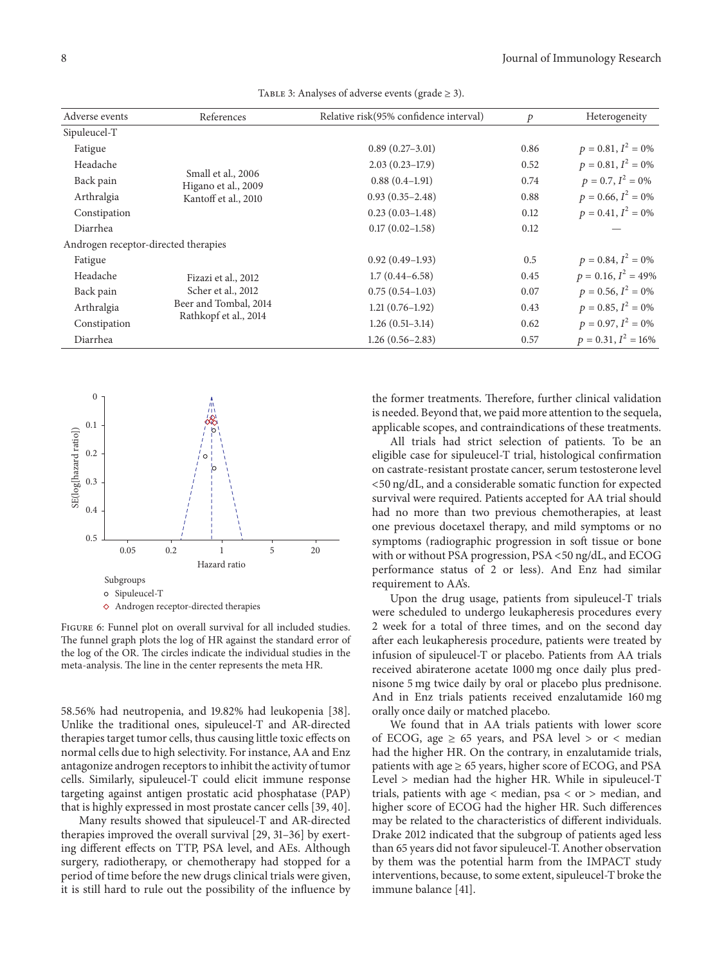| Adverse events                       | References                                | Relative risk(95% confidence interval) | p    | Heterogeneity          |
|--------------------------------------|-------------------------------------------|----------------------------------------|------|------------------------|
| Sipuleucel-T                         |                                           |                                        |      |                        |
| Fatigue                              |                                           | $0.89(0.27-3.01)$                      | 0.86 | $p = 0.81, I^2 = 0\%$  |
| Headache                             |                                           | $2.03(0.23-17.9)$                      | 0.52 | $p = 0.81, I^2 = 0\%$  |
| Back pain                            | Small et al., 2006<br>Higano et al., 2009 | $0.88(0.4-1.91)$                       | 0.74 | $p = 0.7, I^2 = 0\%$   |
| Arthralgia                           | Kantoff et al., 2010                      | $0.93(0.35 - 2.48)$                    | 0.88 | $p = 0.66, I^2 = 0\%$  |
| Constipation                         |                                           | $0.23(0.03-1.48)$                      | 0.12 | $p = 0.41, I^2 = 0\%$  |
| Diarrhea                             |                                           | $0.17(0.02 - 1.58)$                    | 0.12 |                        |
| Androgen receptor-directed therapies |                                           |                                        |      |                        |
| Fatigue                              |                                           | $0.92(0.49-1.93)$                      | 0.5  | $p = 0.84, I^2 = 0\%$  |
| Headache                             | Fizazi et al., 2012                       | $1.7(0.44 - 6.58)$                     | 0.45 | $p = 0.16, I^2 = 49\%$ |
| Back pain                            | Scher et al., 2012                        | $0.75(0.54-1.03)$                      | 0.07 | $p = 0.56, I^2 = 0\%$  |
| Arthralgia                           | Beer and Tombal, 2014                     | $1.21(0.76-1.92)$                      | 0.43 | $p = 0.85, I^2 = 0\%$  |
| Constipation                         | Rathkopf et al., 2014                     | $1.26(0.51-3.14)$                      | 0.62 | $p = 0.97, I^2 = 0\%$  |
| Diarrhea                             |                                           | $1.26(0.56-2.83)$                      | 0.57 | $p = 0.31, I^2 = 16\%$ |
|                                      |                                           |                                        |      |                        |

<span id="page-7-0"></span>TABLE 3: Analyses of adverse events (grade  $\geq$  3).



<span id="page-7-1"></span> $\diamond$  Androgen receptor-directed therapies

Figure 6: Funnel plot on overall survival for all included studies. The funnel graph plots the log of HR against the standard error of the log of the OR. The circles indicate the individual studies in the meta-analysis. The line in the center represents the meta HR.

58.56% had neutropenia, and 19.82% had leukopenia [\[38\]](#page-9-13). Unlike the traditional ones, sipuleucel-T and AR-directed therapies target tumor cells, thus causing little toxic effects on normal cells due to high selectivity. For instance, AA and Enz antagonize androgen receptors to inhibit the activity of tumor cells. Similarly, sipuleucel-T could elicit immune response targeting against antigen prostatic acid phosphatase (PAP) that is highly expressed in most prostate cancer cells [\[39,](#page-9-14) [40](#page-9-15)].

Many results showed that sipuleucel-T and AR-directed therapies improved the overall survival [\[29,](#page-9-7) [31](#page-9-9)[–36](#page-9-10)] by exerting different effects on TTP, PSA level, and AEs. Although surgery, radiotherapy, or chemotherapy had stopped for a period of time before the new drugs clinical trials were given, it is still hard to rule out the possibility of the influence by the former treatments. Therefore, further clinical validation is needed. Beyond that, we paid more attention to the sequela, applicable scopes, and contraindications of these treatments.

All trials had strict selection of patients. To be an eligible case for sipuleucel-T trial, histological confirmation on castrate-resistant prostate cancer, serum testosterone level <50 ng/dL, and a considerable somatic function for expected survival were required. Patients accepted for AA trial should had no more than two previous chemotherapies, at least one previous docetaxel therapy, and mild symptoms or no symptoms (radiographic progression in soft tissue or bone with or without PSA progression, PSA <50 ng/dL, and ECOG performance status of 2 or less). And Enz had similar requirement to AA's.

Upon the drug usage, patients from sipuleucel-T trials were scheduled to undergo leukapheresis procedures every 2 week for a total of three times, and on the second day after each leukapheresis procedure, patients were treated by infusion of sipuleucel-T or placebo. Patients from AA trials received abiraterone acetate 1000 mg once daily plus prednisone 5 mg twice daily by oral or placebo plus prednisone. And in Enz trials patients received enzalutamide 160 mg orally once daily or matched placebo.

We found that in AA trials patients with lower score of ECOG, age  $\geq$  65 years, and PSA level  $>$  or  $<$  median had the higher HR. On the contrary, in enzalutamide trials, patients with age  $\geq 65$  years, higher score of ECOG, and PSA Level > median had the higher HR. While in sipuleucel-T trials, patients with age < median, psa < or > median, and higher score of ECOG had the higher HR. Such differences may be related to the characteristics of different individuals. Drake 2012 indicated that the subgroup of patients aged less than 65 years did not favor sipuleucel-T. Another observation by them was the potential harm from the IMPACT study interventions, because, to some extent, sipuleucel-T broke the immune balance [\[41\]](#page-9-16).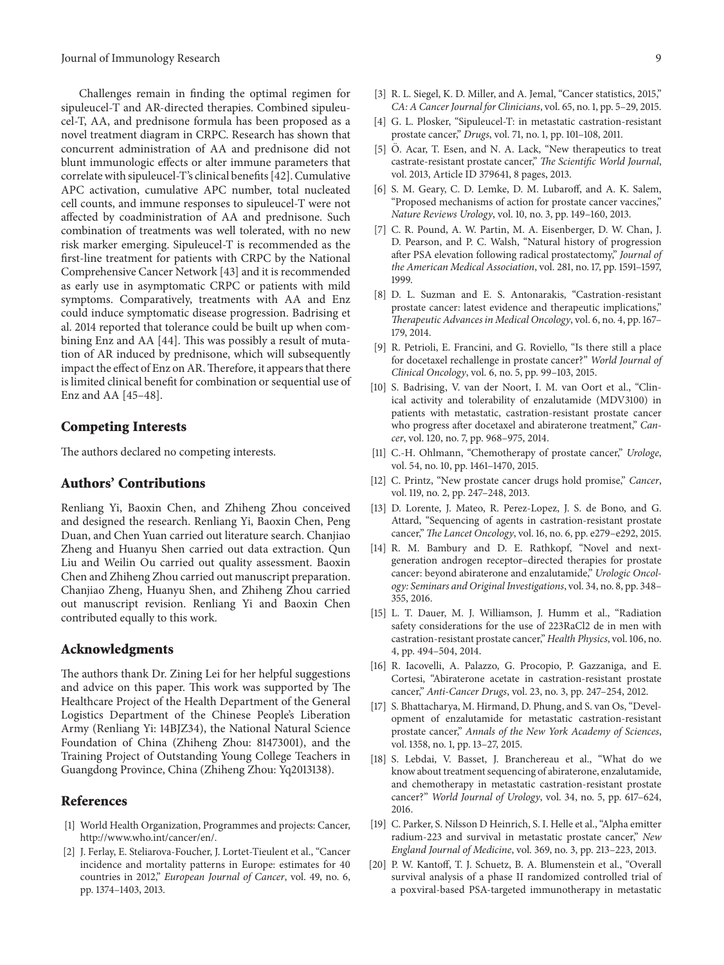Challenges remain in finding the optimal regimen for sipuleucel-T and AR-directed therapies. Combined sipuleucel-T, AA, and prednisone formula has been proposed as a novel treatment diagram in CRPC. Research has shown that concurrent administration of AA and prednisone did not blunt immunologic effects or alter immune parameters that correlate with sipuleucel-T's clinical benefits [\[42](#page-9-17)]. Cumulative APC activation, cumulative APC number, total nucleated cell counts, and immune responses to sipuleucel-T were not affected by coadministration of AA and prednisone. Such combination of treatments was well tolerated, with no new risk marker emerging. Sipuleucel-T is recommended as the first-line treatment for patients with CRPC by the National Comprehensive Cancer Network [\[43\]](#page-9-18) and it is recommended as early use in asymptomatic CRPC or patients with mild symptoms. Comparatively, treatments with AA and Enz could induce symptomatic disease progression. Badrising et al. 2014 reported that tolerance could be built up when combining Enz and AA [\[44](#page-9-19)]. This was possibly a result of mutation of AR induced by prednisone, which will subsequently impact the effect of Enz on AR. Therefore, it appears that there is limited clinical benefit for combination or sequential use of Enz and AA [\[45](#page-9-20)[–48](#page-9-21)].

#### **Competing Interests**

The authors declared no competing interests.

## **Authors' Contributions**

Renliang Yi, Baoxin Chen, and Zhiheng Zhou conceived and designed the research. Renliang Yi, Baoxin Chen, Peng Duan, and Chen Yuan carried out literature search. Chanjiao Zheng and Huanyu Shen carried out data extraction. Qun Liu and Weilin Ou carried out quality assessment. Baoxin Chen and Zhiheng Zhou carried out manuscript preparation. Chanjiao Zheng, Huanyu Shen, and Zhiheng Zhou carried out manuscript revision. Renliang Yi and Baoxin Chen contributed equally to this work.

#### **Acknowledgments**

The authors thank Dr. Zining Lei for her helpful suggestions and advice on this paper. This work was supported by The Healthcare Project of the Health Department of the General Logistics Department of the Chinese People's Liberation Army (Renliang Yi: 14BJZ34), the National Natural Science Foundation of China (Zhiheng Zhou: 81473001), and the Training Project of Outstanding Young College Teachers in Guangdong Province, China (Zhiheng Zhou: Yq2013138).

# **References**

- <span id="page-8-0"></span>[1] World Health Organization, Programmes and projects: Cancer, [http://www.who.int/cancer/en/.](http://www.who.int/cancer/en/)
- [2] J. Ferlay, E. Steliarova-Foucher, J. Lortet-Tieulent et al., "Cancer incidence and mortality patterns in Europe: estimates for 40 countries in 2012," *European Journal of Cancer*, vol. 49, no. 6, pp. 1374–1403, 2013.
- <span id="page-8-1"></span>[3] R. L. Siegel, K. D. Miller, and A. Jemal, "Cancer statistics, 2015," *CA: A Cancer Journal for Clinicians*, vol. 65, no. 1, pp. 5–29, 2015.
- <span id="page-8-2"></span>[4] G. L. Plosker, "Sipuleucel-T: in metastatic castration-resistant prostate cancer," *Drugs*, vol. 71, no. 1, pp. 101–108, 2011.
- <span id="page-8-3"></span>[5] O. Acar, T. Esen, and N. A. Lack, "New therapeutics to treat castrate-resistant prostate cancer," *The Scientific World Journal*, vol. 2013, Article ID 379641, 8 pages, 2013.
- <span id="page-8-4"></span>[6] S. M. Geary, C. D. Lemke, D. M. Lubaroff, and A. K. Salem, "Proposed mechanisms of action for prostate cancer vaccines," *Nature Reviews Urology*, vol. 10, no. 3, pp. 149–160, 2013.
- [7] C. R. Pound, A. W. Partin, M. A. Eisenberger, D. W. Chan, J. D. Pearson, and P. C. Walsh, "Natural history of progression after PSA elevation following radical prostatectomy," *Journal of the American Medical Association*, vol. 281, no. 17, pp. 1591–1597, 1999.
- <span id="page-8-5"></span>[8] D. L. Suzman and E. S. Antonarakis, "Castration-resistant prostate cancer: latest evidence and therapeutic implications," *Therapeutic Advances in Medical Oncology*, vol. 6, no. 4, pp. 167– 179, 2014.
- <span id="page-8-6"></span>[9] R. Petrioli, E. Francini, and G. Roviello, "Is there still a place for docetaxel rechallenge in prostate cancer?" *World Journal of Clinical Oncology*, vol. 6, no. 5, pp. 99–103, 2015.
- <span id="page-8-7"></span>[10] S. Badrising, V. van der Noort, I. M. van Oort et al., "Clinical activity and tolerability of enzalutamide (MDV3100) in patients with metastatic, castration-resistant prostate cancer who progress after docetaxel and abiraterone treatment," *Cancer*, vol. 120, no. 7, pp. 968–975, 2014.
- <span id="page-8-8"></span>[11] C.-H. Ohlmann, "Chemotherapy of prostate cancer," *Urologe*, vol. 54, no. 10, pp. 1461–1470, 2015.
- <span id="page-8-9"></span>[12] C. Printz, "New prostate cancer drugs hold promise," *Cancer*, vol. 119, no. 2, pp. 247–248, 2013.
- <span id="page-8-10"></span>[13] D. Lorente, J. Mateo, R. Perez-Lopez, J. S. de Bono, and G. Attard, "Sequencing of agents in castration-resistant prostate cancer," *The Lancet Oncology*, vol. 16, no. 6, pp. e279–e292, 2015.
- [14] R. M. Bambury and D. E. Rathkopf, "Novel and nextgeneration androgen receptor–directed therapies for prostate cancer: beyond abiraterone and enzalutamide," *Urologic Oncology: Seminars and Original Investigations*, vol. 34, no. 8, pp. 348– 355, 2016.
- [15] L. T. Dauer, M. J. Williamson, J. Humm et al., "Radiation safety considerations for the use of 223RaCl2 de in men with castration-resistant prostate cancer," *Health Physics*, vol. 106, no. 4, pp. 494–504, 2014.
- [16] R. Iacovelli, A. Palazzo, G. Procopio, P. Gazzaniga, and E. Cortesi, "Abiraterone acetate in castration-resistant prostate cancer," *Anti-Cancer Drugs*, vol. 23, no. 3, pp. 247–254, 2012.
- [17] S. Bhattacharya, M. Hirmand, D. Phung, and S. van Os, "Development of enzalutamide for metastatic castration-resistant prostate cancer," *Annals of the New York Academy of Sciences*, vol. 1358, no. 1, pp. 13–27, 2015.
- <span id="page-8-11"></span>[18] S. Lebdai, V. Basset, J. Branchereau et al., "What do we know about treatment sequencing of abiraterone, enzalutamide, and chemotherapy in metastatic castration-resistant prostate cancer?" *World Journal of Urology*, vol. 34, no. 5, pp. 617–624, 2016.
- <span id="page-8-12"></span>[19] C. Parker, S. Nilsson D Heinrich, S. I. Helle et al., "Alpha emitter radium-223 and survival in metastatic prostate cancer," *New England Journal of Medicine*, vol. 369, no. 3, pp. 213–223, 2013.
- <span id="page-8-13"></span>[20] P. W. Kantoff, T. J. Schuetz, B. A. Blumenstein et al., "Overall survival analysis of a phase II randomized controlled trial of a poxviral-based PSA-targeted immunotherapy in metastatic